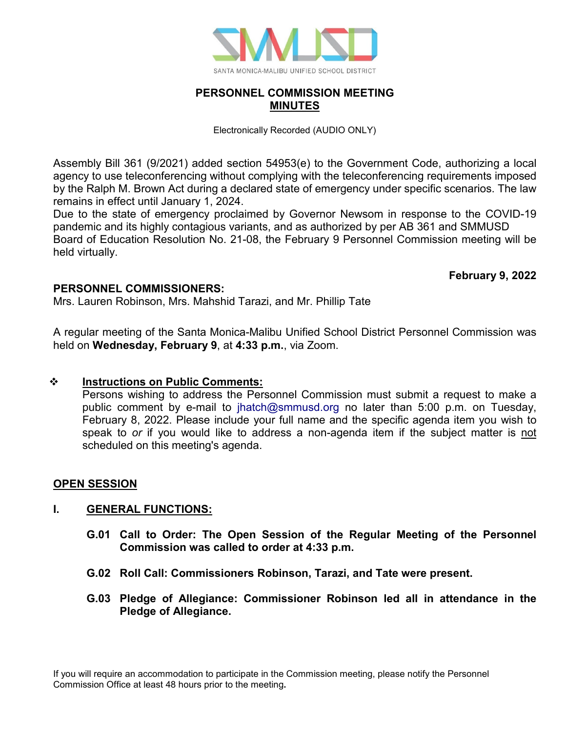

# **PERSONNEL COMMISSION MEETING MINUTES**

Electronically Recorded (AUDIO ONLY)

Assembly Bill 361 (9/2021) added section 54953(e) to the Government Code, authorizing a local agency to use teleconferencing without complying with the teleconferencing requirements imposed by the Ralph M. Brown Act during a declared state of emergency under specific scenarios. The law remains in effect until January 1, 2024.

Due to the state of emergency proclaimed by Governor Newsom in response to the COVID-19 pandemic and its highly contagious variants, and as authorized by per AB 361 and SMMUSD Board of Education Resolution No. 21-08, the February 9 Personnel Commission meeting will be held virtually.

**February 9, 2022**

# **PERSONNEL COMMISSIONERS:**

Mrs. Lauren Robinson, Mrs. Mahshid Tarazi, and Mr. Phillip Tate

A regular meeting of the Santa Monica-Malibu Unified School District Personnel Commission was held on **Wednesday, February 9**, at **4:33 p.m.**, via Zoom.

# **Instructions on Public Comments:**

Persons wishing to address the Personnel Commission must submit a request to make a public comment by e-mail to [jhatch@smmusd.org](mailto:jhatch@smmusd.org) no later than 5:00 p.m. on Tuesday, February 8, 2022. Please include your full name and the specific agenda item you wish to speak to *or* if you would like to address a non-agenda item if the subject matter is not scheduled on this meeting's agenda.

# **OPEN SESSION**

# **I. GENERAL FUNCTIONS:**

- **G.01 Call to Order: The Open Session of the Regular Meeting of the Personnel Commission was called to order at 4:33 p.m.**
- **G.02 Roll Call: Commissioners Robinson, Tarazi, and Tate were present.**
- **G.03 Pledge of Allegiance: Commissioner Robinson led all in attendance in the Pledge of Allegiance.**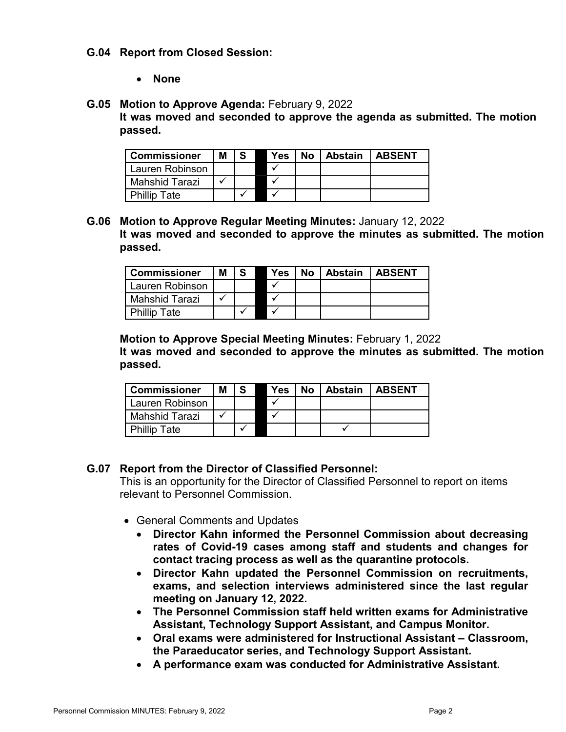### **G.04 Report from Closed Session:**

• **None**

### **G.05 Motion to Approve Agenda:** February 9, 2022

**It was moved and seconded to approve the agenda as submitted. The motion passed.**

| <b>Commissioner</b> | Μ |  | <b>Yes</b> | No l | Abstain | <b>LABSENT</b> |
|---------------------|---|--|------------|------|---------|----------------|
| Lauren Robinson     |   |  |            |      |         |                |
| Mahshid Tarazi      |   |  |            |      |         |                |
| <b>Phillip Tate</b> |   |  |            |      |         |                |

**G.06 Motion to Approve Regular Meeting Minutes:** January 12, 2022 **It was moved and seconded to approve the minutes as submitted. The motion passed.**

| <b>Commissioner</b>   | Μ |  | Yes | <b>No</b> | Abstain | <b>LABSENT</b> |
|-----------------------|---|--|-----|-----------|---------|----------------|
| Lauren Robinson       |   |  |     |           |         |                |
| <b>Mahshid Tarazi</b> |   |  |     |           |         |                |
| <b>Phillip Tate</b>   |   |  |     |           |         |                |

**Motion to Approve Special Meeting Minutes:** February 1, 2022 **It was moved and seconded to approve the minutes as submitted. The motion passed.**

| <b>Commissioner</b> | Μ |  | <b>Yes</b> | No | <b>Abstain</b> | <b>LABSENT</b> |
|---------------------|---|--|------------|----|----------------|----------------|
| Lauren Robinson     |   |  |            |    |                |                |
| Mahshid Tarazi      |   |  |            |    |                |                |
| <b>Phillip Tate</b> |   |  |            |    |                |                |

# **G.07 Report from the Director of Classified Personnel:**

This is an opportunity for the Director of Classified Personnel to report on items relevant to Personnel Commission.

- General Comments and Updates
	- **Director Kahn informed the Personnel Commission about decreasing rates of Covid-19 cases among staff and students and changes for contact tracing process as well as the quarantine protocols.**
	- **Director Kahn updated the Personnel Commission on recruitments, exams, and selection interviews administered since the last regular meeting on January 12, 2022.**
	- **The Personnel Commission staff held written exams for Administrative Assistant, Technology Support Assistant, and Campus Monitor.**
	- **Oral exams were administered for Instructional Assistant – Classroom, the Paraeducator series, and Technology Support Assistant.**
	- **A performance exam was conducted for Administrative Assistant.**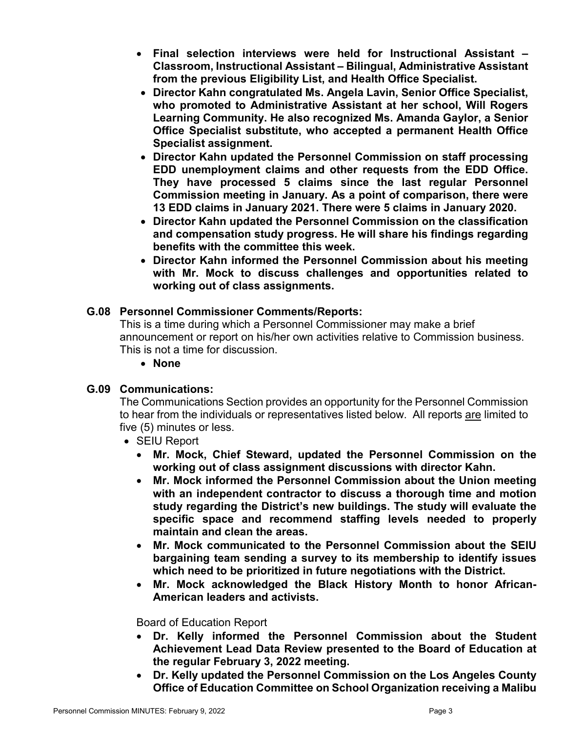- **Final selection interviews were held for Instructional Assistant – Classroom, Instructional Assistant – Bilingual, Administrative Assistant from the previous Eligibility List, and Health Office Specialist.**
- **Director Kahn congratulated Ms. Angela Lavin, Senior Office Specialist, who promoted to Administrative Assistant at her school, Will Rogers Learning Community. He also recognized Ms. Amanda Gaylor, a Senior Office Specialist substitute, who accepted a permanent Health Office Specialist assignment.**
- **Director Kahn updated the Personnel Commission on staff processing EDD unemployment claims and other requests from the EDD Office. They have processed 5 claims since the last regular Personnel Commission meeting in January. As a point of comparison, there were 13 EDD claims in January 2021. There were 5 claims in January 2020.**
- **Director Kahn updated the Personnel Commission on the classification and compensation study progress. He will share his findings regarding benefits with the committee this week.**
- **Director Kahn informed the Personnel Commission about his meeting with Mr. Mock to discuss challenges and opportunities related to working out of class assignments.**

# **G.08 Personnel Commissioner Comments/Reports:**

This is a time during which a Personnel Commissioner may make a brief announcement or report on his/her own activities relative to Commission business. This is not a time for discussion.

• **None**

# **G.09 Communications:**

The Communications Section provides an opportunity for the Personnel Commission to hear from the individuals or representatives listed below. All reports are limited to five (5) minutes or less.

- SEIU Report
	- **Mr. Mock, Chief Steward, updated the Personnel Commission on the working out of class assignment discussions with director Kahn.**
	- **Mr. Mock informed the Personnel Commission about the Union meeting with an independent contractor to discuss a thorough time and motion study regarding the District's new buildings. The study will evaluate the specific space and recommend staffing levels needed to properly maintain and clean the areas.**
	- **Mr. Mock communicated to the Personnel Commission about the SEIU bargaining team sending a survey to its membership to identify issues which need to be prioritized in future negotiations with the District.**
	- **Mr. Mock acknowledged the Black History Month to honor African-American leaders and activists.**

Board of Education Report

- **Dr. Kelly informed the Personnel Commission about the Student Achievement Lead Data Review presented to the Board of Education at the regular February 3, 2022 meeting.**
- **Dr. Kelly updated the Personnel Commission on the Los Angeles County Office of Education Committee on School Organization receiving a Malibu**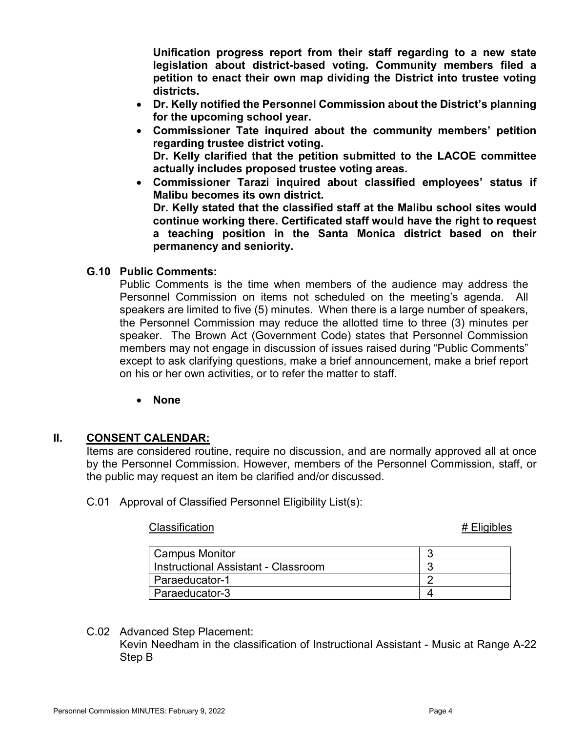**Unification progress report from their staff regarding to a new state legislation about district-based voting. Community members filed a petition to enact their own map dividing the District into trustee voting districts.** 

- **Dr. Kelly notified the Personnel Commission about the District's planning for the upcoming school year.**
- **Commissioner Tate inquired about the community members' petition regarding trustee district voting. Dr. Kelly clarified that the petition submitted to the LACOE committee actually includes proposed trustee voting areas.**
- **Commissioner Tarazi inquired about classified employees' status if Malibu becomes its own district. Dr. Kelly stated that the classified staff at the Malibu school sites would continue working there. Certificated staff would have the right to request a teaching position in the Santa Monica district based on their**

**permanency and seniority.** 

# **G.10 Public Comments:**

Public Comments is the time when members of the audience may address the Personnel Commission on items not scheduled on the meeting's agenda. All speakers are limited to five (5) minutes. When there is a large number of speakers, the Personnel Commission may reduce the allotted time to three (3) minutes per speaker. The Brown Act (Government Code) states that Personnel Commission members may not engage in discussion of issues raised during "Public Comments" except to ask clarifying questions, make a brief announcement, make a brief report on his or her own activities, or to refer the matter to staff.

# • **None**

# **II. CONSENT CALENDAR:**

Items are considered routine, require no discussion, and are normally approved all at once by the Personnel Commission. However, members of the Personnel Commission, staff, or the public may request an item be clarified and/or discussed.

C.01 Approval of Classified Personnel Eligibility List(s):

#### Classification **Alternative Classification Alternative Classification Alternative Classification**

| <b>Campus Monitor</b>               |  |
|-------------------------------------|--|
| Instructional Assistant - Classroom |  |
| Paraeducator-1                      |  |
| Paraeducator-3                      |  |

C.02 Advanced Step Placement:

Kevin Needham in the classification of Instructional Assistant - Music at Range A-22 Step B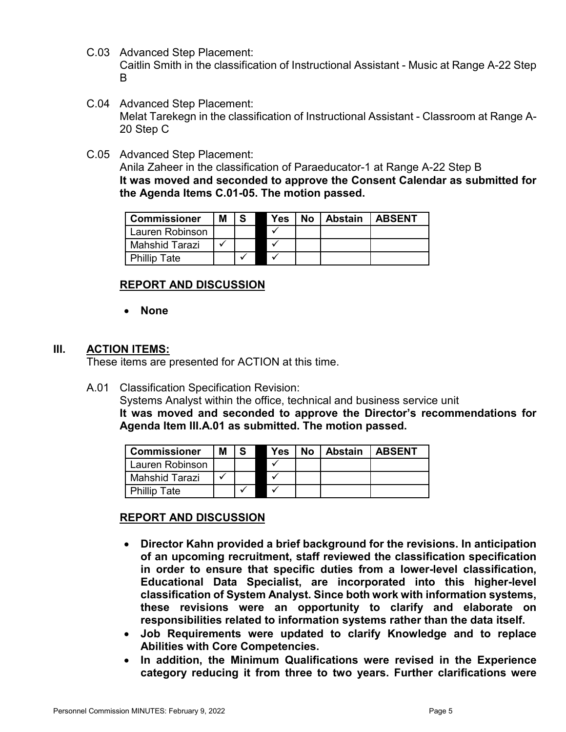- C.03 Advanced Step Placement: Caitlin Smith in the classification of Instructional Assistant - Music at Range A-22 Step B
- C.04 Advanced Step Placement: Melat Tarekegn in the classification of Instructional Assistant - Classroom at Range A-20 Step C
- C.05 Advanced Step Placement:

Anila Zaheer in the classification of Paraeducator-1 at Range A-22 Step B **It was moved and seconded to approve the Consent Calendar as submitted for the Agenda Items C.01-05. The motion passed.**

| <b>Commissioner</b> | Μ | -S | <b>Yes</b> | No   Abstain   ABSENT |  |
|---------------------|---|----|------------|-----------------------|--|
| Lauren Robinson     |   |    |            |                       |  |
| Mahshid Tarazi      |   |    |            |                       |  |
| <b>Phillip Tate</b> |   |    |            |                       |  |

# **REPORT AND DISCUSSION**

• **None**

# **III. ACTION ITEMS:**

These items are presented for ACTION at this time.

A.01 Classification Specification Revision:

Systems Analyst within the office, technical and business service unit **It was moved and seconded to approve the Director's recommendations for Agenda Item III.A.01 as submitted. The motion passed.**

| <b>Commissioner</b> | М |  | Yes | No l | <b>Abstain   ABSENT</b> |  |
|---------------------|---|--|-----|------|-------------------------|--|
| Lauren Robinson     |   |  |     |      |                         |  |
| Mahshid Tarazi      |   |  |     |      |                         |  |
| <b>Phillip Tate</b> |   |  |     |      |                         |  |

# **REPORT AND DISCUSSION**

- **Director Kahn provided a brief background for the revisions. In anticipation of an upcoming recruitment, staff reviewed the classification specification in order to ensure that specific duties from a lower-level classification, Educational Data Specialist, are incorporated into this higher-level classification of System Analyst. Since both work with information systems, these revisions were an opportunity to clarify and elaborate on responsibilities related to information systems rather than the data itself.**
- **Job Requirements were updated to clarify Knowledge and to replace Abilities with Core Competencies.**
- **In addition, the Minimum Qualifications were revised in the Experience category reducing it from three to two years. Further clarifications were**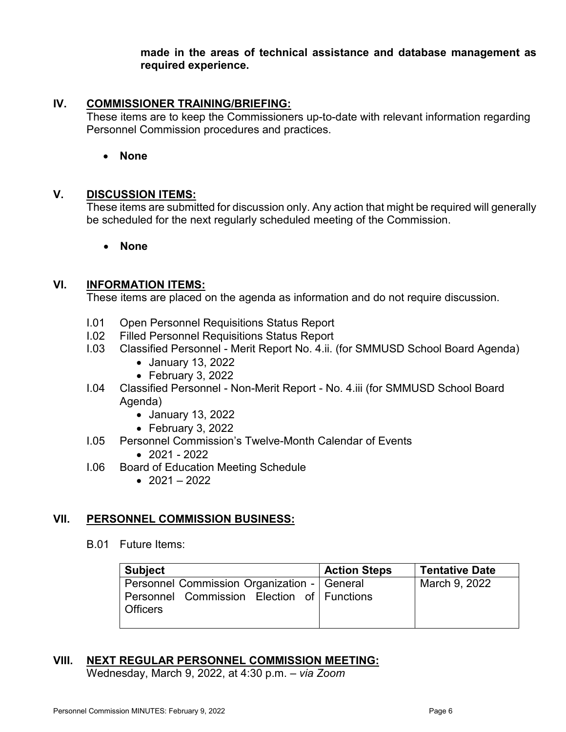**made in the areas of technical assistance and database management as required experience.**

# **IV. COMMISSIONER TRAINING/BRIEFING:**

These items are to keep the Commissioners up-to-date with relevant information regarding Personnel Commission procedures and practices.

• **None**

#### **V. DISCUSSION ITEMS:**

These items are submitted for discussion only. Any action that might be required will generally be scheduled for the next regularly scheduled meeting of the Commission.

• **None**

### **VI. INFORMATION ITEMS:**

These items are placed on the agenda as information and do not require discussion.

- I.01 Open Personnel Requisitions Status Report
- I.02 Filled Personnel Requisitions Status Report
- I.03 Classified Personnel Merit Report No. 4.ii. (for SMMUSD School Board Agenda)
	- January 13, 2022
	- February 3, 2022
- I.04 Classified Personnel Non-Merit Report No. 4.iii (for SMMUSD School Board Agenda)
	- January 13, 2022
	- February 3, 2022
- I.05 Personnel Commission's Twelve-Month Calendar of Events
	- $2021 2022$
- I.06 Board of Education Meeting Schedule
	- $2021 2022$

#### **VII. PERSONNEL COMMISSION BUSINESS:**

B.01 Future Items:

| <b>Subject</b>                                                                                                   | <b>Action Steps</b> | <b>Tentative Date</b> |
|------------------------------------------------------------------------------------------------------------------|---------------------|-----------------------|
| Personnel Commission Organization -   General<br><b>Personnel Commission Election of Functions</b><br>l Officers |                     | March 9, 2022         |

#### **VIII. NEXT REGULAR PERSONNEL COMMISSION MEETING:**

Wednesday, March 9, 2022, at 4:30 p.m. – *via Zoom*